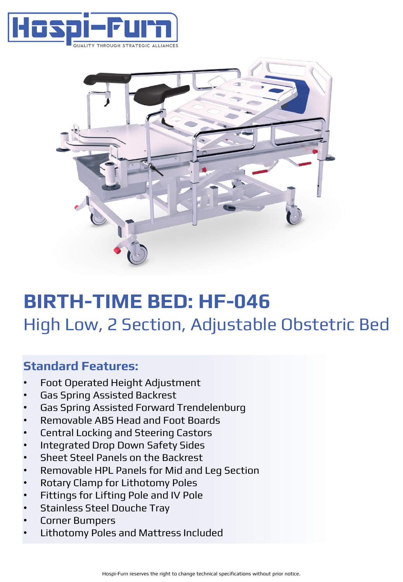



# **BIRTH-TIME BED: HF-046** High Low, 2 Section, Adjustable Obstetric Bed

### **Standard Features:**

- Foot Operated Height Adjustment
- Gas Spring Assisted Backrest
- Gas Spring Assisted Forward Trendelenburg
- Removable ABS Head and Foot Boards
- Central Locking and Steering Castors
- Integrated Drop Down Safety Sides
- Sheet Steel Panels on the Backrest
- Removable HPL Panels for Mid and Leg Section
- Rotary Clamp for Lithotomy Poles
- Fittings for Lifting Pole and IV Pole
- Stainless Steel Douche Tray
- Corner Bumpers
- Lithotomy Poles and Mattress Included